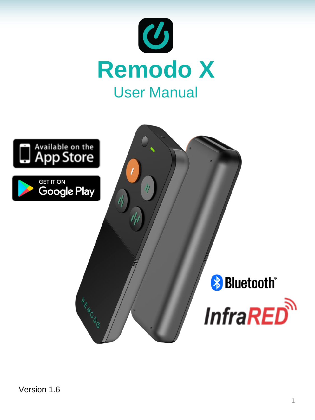

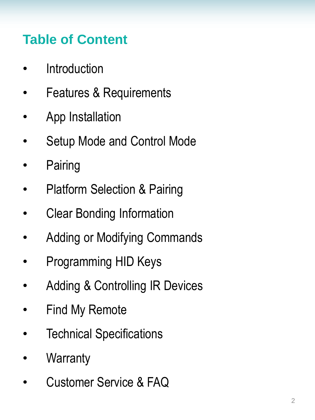# **Table of Content**

- **Introduction**
- Features & Requirements
- App Installation
- Setup Mode and Control Mode
- **Pairing**
- **Platform Selection & Pairing**
- Clear Bonding Information
- Adding or Modifying Commands
- Programming HID Keys
- Adding & Controlling IR Devices
- Find My Remote
- **Technical Specifications**
- **Warranty**
- Customer Service & FAQ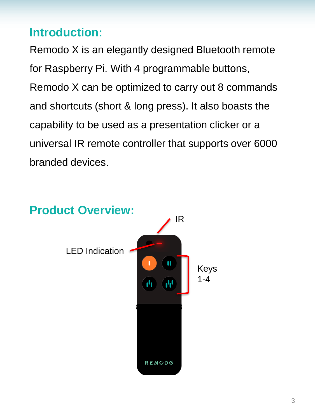#### **Introduction:**

Remodo X is an elegantly designed Bluetooth remote for Raspberry Pi. With 4 programmable buttons, Remodo X can be optimized to carry out 8 commands and shortcuts (short & long press). It also boasts the capability to be used as a presentation clicker or a universal IR remote controller that supports over 6000 branded devices.

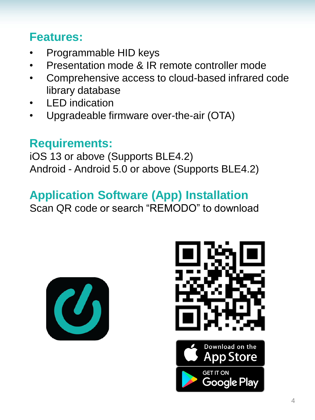### **Features:**

- Programmable HID keys
- Presentation mode & IR remote controller mode
- Comprehensive access to cloud-based infrared code library database
- **LED** indication
- Upgradeable firmware over-the-air (OTA)

### **Requirements:**

iOS 13 or above (Supports BLE4.2) Android - Android 5.0 or above (Supports BLE4.2)

#### **Application Software (App) Installation**

Scan QR code or search "REMODO" to download





**GET IT ON** 

Google Play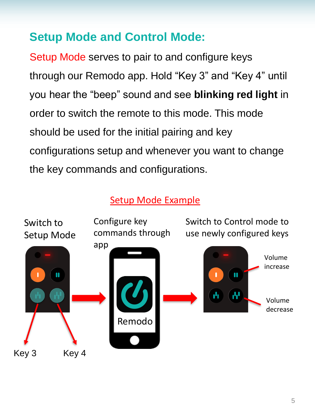#### **Setup Mode and Control Mode:**

Setup Mode serves to pair to and configure keys through our Remodo app. Hold "Key 3" and "Key 4" until you hear the "beep" sound and see **blinking red light** in order to switch the remote to this mode. This mode should be used for the initial pairing and key configurations setup and whenever you want to change the key commands and configurations.

#### Setup Mode Example

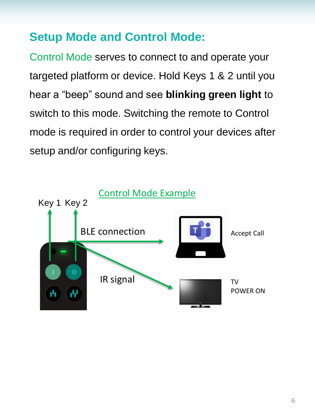#### **Setup Mode and Control Mode:**

Control Mode serves to connect to and operate your targeted platform or device. Hold Keys 1 & 2 until you hear a "beep" sound and see **blinking green light** to switch to this mode. Switching the remote to Control mode is required in order to control your devices after setup and/or configuring keys.

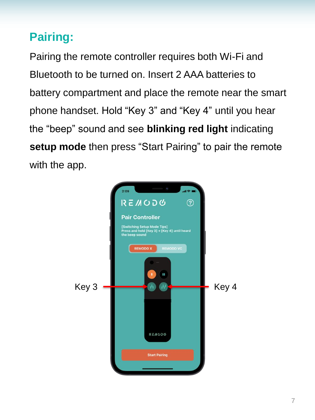# **Pairing:**

Pairing the remote controller requires both Wi-Fi and Bluetooth to be turned on. Insert 2 AAA batteries to battery compartment and place the remote near the smart phone handset. Hold "Key 3" and "Key 4" until you hear the "beep" sound and see **blinking red light** indicating **setup mode** then press "Start Pairing" to pair the remote with the app.

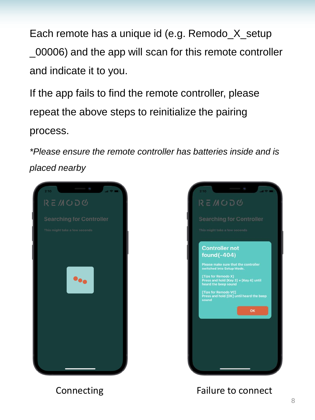Each remote has a unique id (e.g. Remodo\_X\_setup \_00006) and the app will scan for this remote controller and indicate it to you.

If the app fails to find the remote controller, please repeat the above steps to reinitialize the pairing process.

*\*Please ensure the remote controller has batteries inside and is placed nearby*





Connecting Failure to connect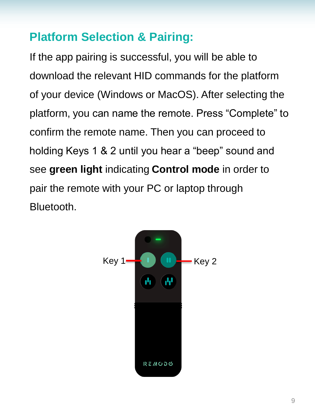#### **Platform Selection & Pairing:**

If the app pairing is successful, you will be able to download the relevant HID commands for the platform of your device (Windows or MacOS). After selecting the platform, you can name the remote. Press "Complete" to confirm the remote name. Then you can proceed to holding Keys 1 & 2 until you hear a "beep" sound and see **green light** indicating **Control mode** in order to pair the remote with your PC or laptop through Bluetooth.

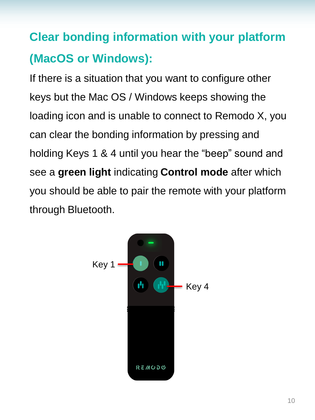# **Clear bonding information with your platform (MacOS or Windows):**

If there is a situation that you want to configure other keys but the Mac OS / Windows keeps showing the loading icon and is unable to connect to Remodo X, you can clear the bonding information by pressing and holding Keys 1 & 4 until you hear the "beep" sound and see a **green light** indicating **Control mode** after which you should be able to pair the remote with your platform through Bluetooth.

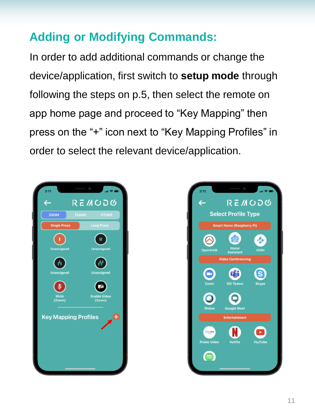# **Adding or Modifying Commands:**

In order to add additional commands or change the device/application, first switch to **setup mode** through following the steps on p.5, then select the remote on app home page and proceed to "Key Mapping" then press on the "+" icon next to "Key Mapping Profiles" in order to select the relevant device/application.



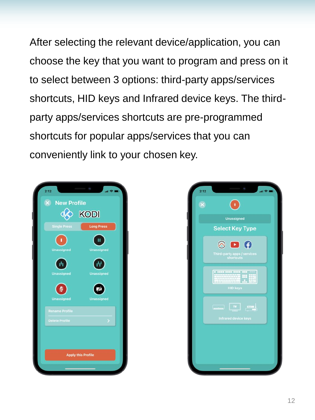After selecting the relevant device/application, you can choose the key that you want to program and press on it to select between 3 options: third-party apps/services shortcuts, HID keys and Infrared device keys. The thirdparty apps/services shortcuts are pre-programmed shortcuts for popular apps/services that you can conveniently link to your chosen key.



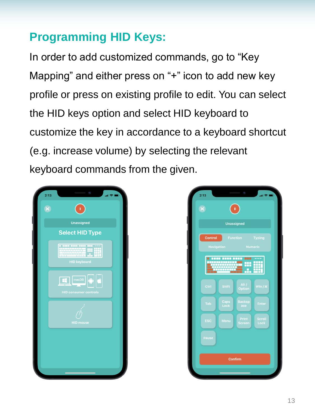# **Programming HID Keys:**

In order to add customized commands, go to "Key Mapping" and either press on "+" icon to add new key profile or press on existing profile to edit. You can select the HID keys option and select HID keyboard to customize the key in accordance to a keyboard shortcut (e.g. increase volume) by selecting the relevant keyboard commands from the given.



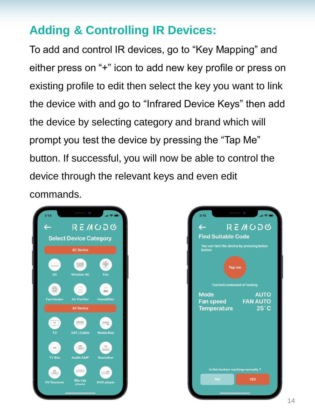# **Adding & Controlling IR Devices:**

To add and control IR devices, go to "Key Mapping" and either press on "+" icon to add new key profile or press on existing profile to edit then select the key you want to link the device with and go to "Infrared Device Keys" then add the device by selecting category and brand which will prompt you test the device by pressing the "Tap Me" button. If successful, you will now be able to control the device through the relevant keys and even edit commands.



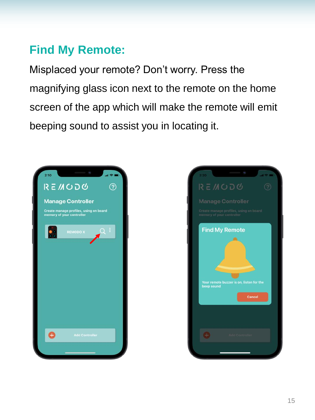### **Find My Remote:**

Misplaced your remote? Don't worry. Press the magnifying glass icon next to the remote on the home screen of the app which will make the remote will emit beeping sound to assist you in locating it.



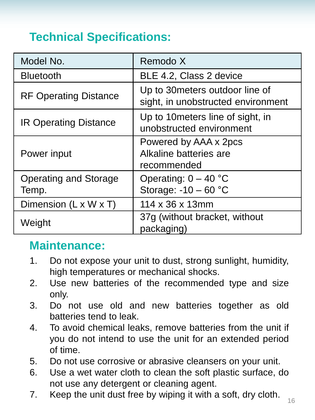# **Technical Specifications:**

| Model No.                             | Remodo X                                                              |
|---------------------------------------|-----------------------------------------------------------------------|
| <b>Bluetooth</b>                      | BLE 4.2, Class 2 device                                               |
| <b>RF Operating Distance</b>          | Up to 30 meters outdoor line of<br>sight, in unobstructed environment |
| <b>IR Operating Distance</b>          | Up to 10 meters line of sight, in<br>unobstructed environment         |
| Power input                           | Powered by AAA x 2pcs<br>Alkaline batteries are<br>recommended        |
| <b>Operating and Storage</b><br>Temp. | Operating: $0 - 40$ °C<br>Storage: $-10 - 60$ °C                      |
| Dimension $(L \times W \times T)$     | 114 x 36 x 13mm                                                       |
| Weight                                | 37g (without bracket, without<br>packaging)                           |

#### **Maintenance:**

- 1. Do not expose your unit to dust, strong sunlight, humidity, high temperatures or mechanical shocks.
- 2. Use new batteries of the recommended type and size only.
- 3. Do not use old and new batteries together as old batteries tend to leak.
- 4. To avoid chemical leaks, remove batteries from the unit if you do not intend to use the unit for an extended period of time.
- 5. Do not use corrosive or abrasive cleansers on your unit.
- 6. Use a wet water cloth to clean the soft plastic surface, do not use any detergent or cleaning agent.
- 7. Keep the unit dust free by wiping it with a soft, dry cloth.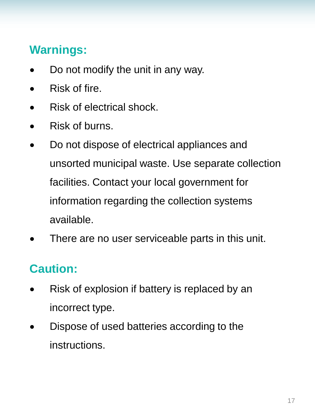# **Warnings:**

- Do not modify the unit in any way.
- Risk of fire.
- Risk of electrical shock.
- Risk of burns.
- Do not dispose of electrical appliances and unsorted municipal waste. Use separate collection facilities. Contact your local government for information regarding the collection systems available.
- There are no user serviceable parts in this unit.

#### **Caution:**

- Risk of explosion if battery is replaced by an incorrect type.
- Dispose of used batteries according to the instructions.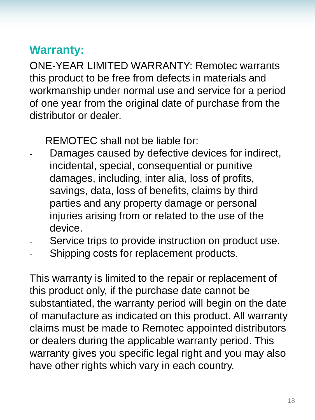#### **Warranty:**

ONE-YEAR LIMITED WARRANTY: Remotec warrants this product to be free from defects in materials and workmanship under normal use and service for a period of one year from the original date of purchase from the distributor or dealer.

REMOTEC shall not be liable for:

- Damages caused by defective devices for indirect, incidental, special, consequential or punitive damages, including, inter alia, loss of profits, savings, data, loss of benefits, claims by third parties and any property damage or personal injuries arising from or related to the use of the device.
- Service trips to provide instruction on product use.
- Shipping costs for replacement products.

This warranty is limited to the repair or replacement of this product only, if the purchase date cannot be substantiated, the warranty period will begin on the date of manufacture as indicated on this product. All warranty claims must be made to Remotec appointed distributors or dealers during the applicable warranty period. This warranty gives you specific legal right and you may also have other rights which vary in each country.